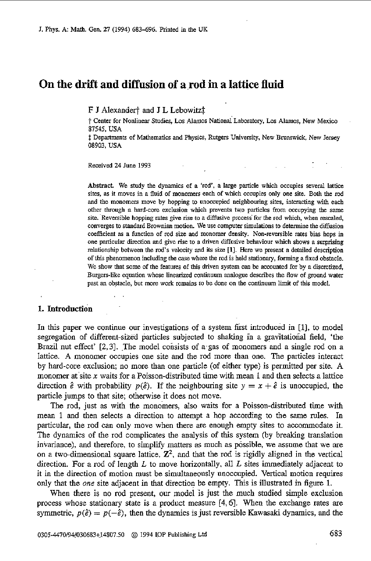# **On the drift and diffusion of a rod in a lattice fluid**

F J Alexander<sup>†</sup> and J L Lebowitz<sup>†</sup>

t Center for Nonlinear Studies, **Los** Alamos Nationai Laboratory, Los Alamos, New Mexico 87545, **USA** 

t: Departments of Mathematics and Physics, Rutgers University, New Brunswick, New Jersey 08903, USA

Received 24 June 1993

..

Abstract. We study the dynamics of a 'rod', a large particle which occupies several lattice sites, **as** it moves in a fluid of monomers each of which occupies only one site. Both the rod and the monomers move by hopping to unoccupied neighbouring sites, interacting With each other through a hard-core exclusion which prevents two particles from occupying the same site. reversible hopping rates give rise to **a** diffusive process for lhe rod which, when **rescaled,**  converges to standard Brownian motion. **We** use computer simulations to determine the diffusion coefficient **as a** function of rod size and monomer density. Non-reversible rates bias hops in one particular direction and give **rise** to **a** driven diffusive behaviour which shows a surprising relationship between the **rod's** velocity and its size **[I].** Here we present a detailed description of this phenomenon including the **wse** where the rod is held stationq, forming **a** fixed obstacle. We show that some *of* the features of this driven system can be accounted for by a discretized, Burgers-like equation whose linearized continuum analogue describes the Row of ground water past **an** obstacle, but more work remains to be done **on** the continuum limit of this model.

# **1.** Introduction

In this paper we continue our investigations of a system first introduced in [l], to model segregation of different-sized particles subjected to shaking in a gravitational field, 'the Brazil nut effect' [2,3]. The model consists of a gas of monomers and a single rod on a lattice. **A** monomer occupies one site and the rod more than one. The particles interact by hard-core exclusion; no more than one particle (of either type) is permitted per site. **A**  monomer at site *x* waits for a Poisson-distributed time with mean 1 and then selects a lattice direction  $\hat{e}$  with probability  $p(\hat{e})$ . If the neighbouring site  $y = x + \hat{e}$  is unoccupied, the particle jumps to that site; otherwise it does not move.

The rod, just as with the monomers, also waits for a Poisson-distributed time with mean 1 and then selects **a** direction to attempt a hop according to the same rules. In particular, the rod **can** only move when there are enough empty sites to accommodate it. The dynamics of the rod complicates the analysis of this system (by breaking translation invaiance), and therefore, to simplify matters as much as possible, we assume that we are on a two-dimensional square lattice,  $\mathbb{Z}^2$ , and that the rod is rigidly aligned in the vertical direction. For a rod of length *L* to move horizontally. all *L* sites immediately adjacent to it in the direction of motion must be simultaneously unoccupied. Vertical motion requires only that the *one* site adjacent in that direction be empty. This is illustrated in figure 1.

When there is no rod present, our model is just the much studied simple exclusion process whose stationary state is a product measure **[4,6].** When the exchange rates are symmetric,  $p(\hat{e}) = p(-\hat{e})$ , then the dynamics is just reversible Kawasaki dynamics, and the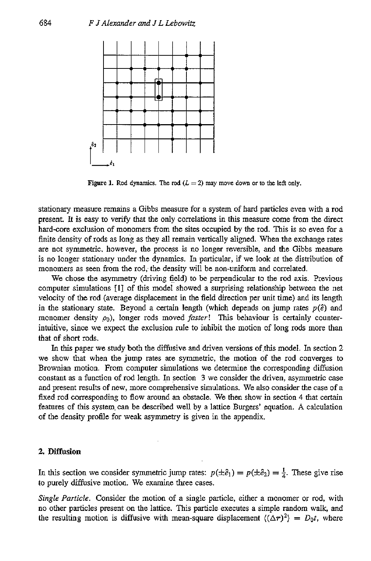

**Figure 1.** Rod dynamics. The rod  $(L = 2)$  may move down or to the left only.

stationary measure remains a Gibbs measure for a system of hard particles even with a rod present. It is easy to verify that the only correlations in this measure come **from** the direct hard-core exclusion of monomers from the sites occupied by the rod. This is so even for a finite density of rods as long **as** they **all** remain vertically aligned. When the exchange rates are not symmetric, however, the process is no longer reversible, and the Gibbs measure is no longer **stationary** under the dynamics. In particular, if we look at the distribution of monomers **as seen** from the rod; the density will be non-uniform and correlated.

We chose the asymmetry (driving field) to be perpendicular to the rod axis. Previous computer simulations [I] of this model showed a surprising relationship between the net velocity of the rod (average displacement in the field direction per unit time) and its length in the stationary state. Beyond a certain length (which depends on jump rates  $p(\hat{e})$  and monomer density  $\rho_0$ ), longer rods moved *faster*! This behaviour is certainly counterintuitive, since we expect the exclusion rule to inhibit the motion of long rods more than that of short rods.

In this paper we study both the diffusive and driven versions of.this model. In section **2**  we show that when the jump rates are symmetric, the motion of the rod converges to Brownian motion. From computer simulations we determine the corresponding diffusion constant **as** a function of rod length. In section **3** we consider the driven, asymmetric case and present results of new, more comprehensive simulations. We also consider the case of a fixed rod corresponding to flow around **an** obstacle. We then show in section **4** that certain features of this system, can be described well by a lattice Burgers' equation. **A** calculation of the density profile for weak asymmetry is given in the appendix.

# **2.** Diffusion

In this section we consider symmetric jump rates:  $p(\pm \hat{e}_1) = p(\pm \hat{e}_2) = \frac{1}{4}$ . These give rise to purely diffusive motion. We examine three cases.

*Single Particle.* Consider the motion of a single particle, either a monomer or rod, with no other particles present on the lattice. This particle executes a simple random walk, and the resulting motion is diffusive with mean-square displacement  $\langle (\Delta r)^2 \rangle = D_0 t$ , where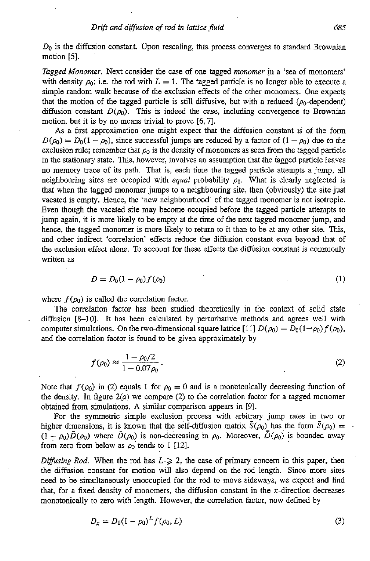*DO* is the diffusion constant. Upon rescaling, this process converges to standard Brownian motion [5].

*Tagged Monomer.* Next consider the case of one tagged *monomer* in a 'sea of monomers' with density  $\rho_0$ ; i.e. the rod with  $L = 1$ . The tagged particle is no longer able to execute a simple random **walk** because of the exclusion effects of the other monomers. One expects that the motion of the tagged particle is still diffusive, but with a reduced ( $\rho_0$ -dependent) diffusion constant  $D(\rho_0)$ . This is indeed the case, including convergence to Brownian motion, but it is by no means trivial to prove [6,7].

As a first approximation one might expect that the diffusion constant is of the form  $D(\rho_0) = D_0(1 - \rho_0)$ , since successful jumps are reduced by a factor of  $(1 - \rho_0)$  due to the exclusion rule; remember that  $\rho_0$  is the density of monomers as seen from the tagged particle in the stationary state. This, however, involves an assumption that the tagged particle leaves no memory trace of its path. That is, each time the tagged particle attempts a jump, all neighbouring sites are occupied with *equal* probability  $\rho_0$ . What is clearly neglected is that when the tagged monomer jumps to a neighbouring site, then (obviously) the site~just vacated is empty. Hence, the 'new neighbourhood' of the tagged monomer is not isotropic. Even though the vacated site may become occupied before the tagged particle attempts to jump again, it is more likely to be empty at the time of the next tagged monomer jump, and hence, the tagged monomer is more likely to return to it than to be at any other site. This, and other indirect 'correlation' effects reduce the diffusion constant even beyond that of the exclusion effect alone. To account for these effects the diffusion constant is commonly written as

$$
D = D_0(1 - \rho_0) f(\rho_0)
$$
 (1)

where  $f(\rho_0)$  is called the correlation factor.

The correlation factor has been studied theoretically in the context of solid state diffusion [8-10]. It has been calculated by perturbative methods and agrees well with computer simulations. On the two-dimensional square lattice [11]  $D(\rho_0) = D_0(1-\rho_0)f(\rho_0)$ , and the correlation factor is found to be given approximately by

$$
f(\rho_0) \approx \frac{1 - \rho_0/2}{1 + 0.07\rho_0} \,. \tag{2}
$$

Note that  $f(\rho_0)$  in (2) equals 1 for  $\rho_0 = 0$  and is a monotonically decreasing function of the density. In figure *2(u)* we compare (2) to the correlation factor for a tagged monomer obtained from simulations. **A** similar comparison appears in *[91.* 

For the symmetric simple exclusion process with arbitrary jump rates in two or higher dimensions, it is known that the self-diffusion matrix  $\bar{S}(\rho_0)$  has the form  $\bar{S}(\rho_0)$  =  $(1 - \rho_0)\bar{D}(\rho_0)$  where  $\bar{D}(\rho_0)$  is non-decreasing in  $\rho_0$ . Moreover,  $\bar{D}(\rho_0)$  is bounded away from zero from below as  $\rho_0$  tends to 1 [12].

*Diffusing Rod.* When the rod has  $L \geq 2$ , the case of primary concern in this paper, then the diffusion constant for motion will also depend on the rod length. Since more sites need to be simultaneously unoccupied for the rod to move sideways, we expect and find that, for a fixed density of monomers, the diffusion constant in the  $x$ -direction decreases monotonically to zero with length. However, the correlation factor, now defined by

$$
D_x = D_0 (1 - \rho_0)^L f(\rho_0, L) \tag{3}
$$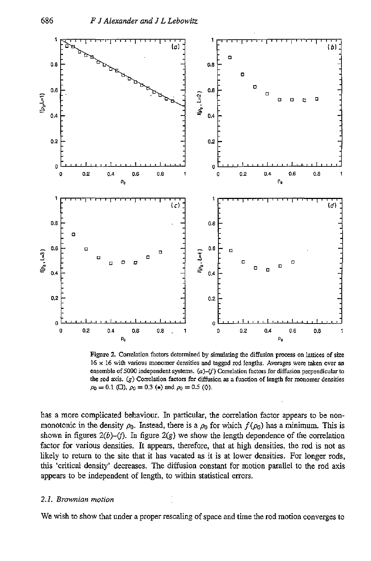

**Figure 2. Correlation factors determined by simulating the diffusion process on lattices of size 16 x 16 with various monomer densities and tagged rod lengths. Averages were taken over an ensemble of5000 independent systems.** *(a)+)* **Correlation factors fordiffusion perpendicular to the rod axis.** (g) **Correlation facton** for **diffusion as a function of length for monomer densities**   $\rho_0 = 0.1$  ( $\square$ ),  $\rho_0 = 0.3$  ( $\bullet$ ) and  $\rho_0 = 0.5$  ( $\lozenge$ ).

has a more complicated behaviour. In particular, the correlation factor appears to be nonmonotonic in the density  $\rho_0$ . Instead, there is a  $\rho_0$  for which  $f(\rho_0)$  has a minimum. This is shown in figures  $2(b)$ –(f). In figure  $2(g)$  we show the length dependence of the correlation factor for various densities. It appears, therefore, that at high densities, the rod is not **as**  likely to return to the site that it has vacated **as** it is at lower densities. For longer rods, this 'critical density' decreases. The diffusion constant for motion parallel to the rod axis appears to be independent of length, to within statistical errors.

### *2.1. Brownian motion*

We wish to show that under a proper rescaling of space and time the rod motion converges to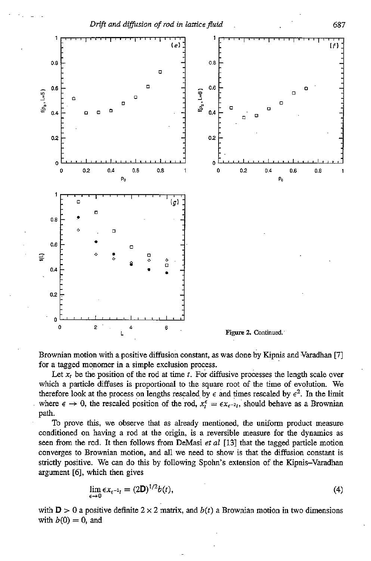

Brownian motion with a positive diffusion constant, as was done by Kipnis and Varadhan [7] for a tagged monomer in a simple exclusion process.

Let  $x_t$  be the position of the rod at time  $t$ . For diffusive processes the length scale over which a particle diffuses is proportional to the square root of the time of evolution. We therefore look at the process on lengths rescaled by  $\epsilon$  and times rescaled by  $\epsilon^2$ . In the limit where  $\epsilon \to 0$ , the rescaled position of the rod,  $x_i^{\epsilon} = \epsilon x_{\epsilon^{-2}i}$ , should behave as a Brownian path.

To prove this, we observe that **as** already mentioned, the uniform product measure conditioned on having a rod at the origin, is a reversible measure for the dynamics as **seen from** the rod. It then follows from DeMasi *et al* 1131 that the tagged particle motion converges to Brownian motion, and all we need to show is that the diffusion constant is strictly positive. We *can* do this by following **Spohn's** extension of the Kipnis-Varadhan argument *[6],* which then gives

$$
\lim_{\epsilon \to 0} \epsilon x_{\epsilon^{-2}t} = (2\mathbf{D})^{1/2} b(t),\tag{4}
$$

with **D**  $> 0$  a positive definite  $2 \times 2$  matrix, and  $b(t)$  a Brownian motion in two dimensions with  $b(0) = 0$ , and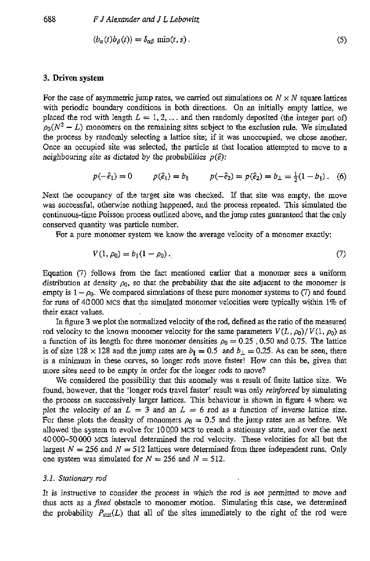$$
\langle b_{\alpha}(t)b_{\beta}(t)\rangle = \delta_{\alpha\beta} \min(t, s) \,. \tag{5}
$$

# **3. Driven system**

For the case of asymmetric jump rates, we carried out simulations on  $N \times N$  square lattices with periodic boundary conditions in both directions. On an initially empty lattice, we placed the rod with length  $L = 1, 2, ...$  and then randomly deposited (the integer part of)  $\rho_0(N^2 - L)$  monomers on the remaining sites subject to the exclusion rule. We simulated the process by randomly selecting a lattice site; if it was unoccupied, we chose another. Once an occupied site was selected, the particle at that location attempted to move to a neighbouring site as dictated by the probabilities  $p(\hat{e})$ :

$$
p(-\hat{e}_1) = 0
$$
  $p(\hat{e}_1) = b_{\parallel}$   $p(-\hat{e}_2) = p(\hat{e}_2) = b_{\perp} = \frac{1}{2}(1 - b_{\parallel}).$  (6)

Next the occupancy of the target site was checked. If that site was empty, the move was successful, otherwise nothing happened, and the process repeated. This simulated the continuous-time Poisson process outlined above, and the jump rates guaranteed that the only conserved quantity was particle number.

For a pure monomer system we know the average velocity of a monomer exactly:

$$
V(1, \rho_0) = b_{\parallel}(1 - \rho_0). \tag{7}
$$

Equation (7) follows from the fact mentioned earlier that a monomer sees a uniform distribution at density  $\rho_0$ , so that the probability that the site adjacent to the monomer is empty is  $1 - \rho_0$ . We compared simulations of these pure monomer systems to (7) and found for runs of 40 000 MCS that the simulated monomer velocities were typically within 1% of their exact values.

In figure **3** we plot the normalized velocity of the rod, defined as the ratio of the measured rod velocity to the known monomer velocity for the same parameters  $V(L, \rho_0)/V(1, \rho_0)$  as a function of its length for three monomer densities  $\rho_0 = 0.25$ , 0.50 and 0.75. The lattice is of size 128  $\times$  128 and the jump rates are  $b_{\parallel} = 0.5$  and  $b_{\perp} = 0.25$ . As can be seen, there is a minimum in these curves, so longer rods move faster! How can this be, given that more sites need to be empty in order for the longer rods to move?

We considered the possibility that this anomaly was a result of finite lattice size. We found, however, that the 'longer rods travel faster' result was only *reinforced* by simulating the process on successively larger lattices. This behaviour is shown in figure 4 where we plot the velocity of an  $L = 3$  and an  $L = 6$  rod as a function of inverse lattice size. For these plots the density of monomers  $\rho_0 = 0.5$  and the jump rates are as before. We allowed the system to evolve for IO000 MCS to reach a stationary state, and over the next 40000-50000 MCS interval determined the rod velocity. These velocities for all but the largest  $N = 256$  and  $N = 512$  lattices were determined from three independent runs. Only one system was simulated for  $N = 256$  and  $N = 512$ .

### *3.1.* Stationary *rod*

It is instructive to consider the process in which the rod is not permitted to move and thus acts as a *fuced* obstacle to monomer motion. Simulating this case, we determined the probability  $P_{\text{stat}}(L)$  that all of the sites immediately to the right of the rod were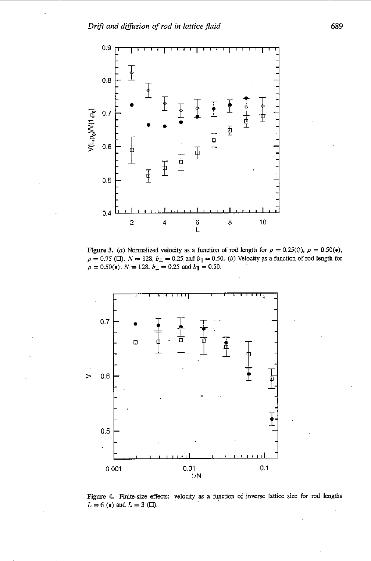

Figure 3. (a) Normalized velocity as a function of rod length for  $\rho = 0.25(\Diamond)$ ,  $\rho = 0.50(\bullet)$ ,  $\rho = 0.75$  ( $\square$ ).  $N = 128$ ,  $b_{\perp} = 0.25$  and  $b_{\parallel} = 0.50$ . (b) Velocity as a function of rod length for  $\rho = 0.50($ •);  $N = 128$ ,  $b_{\perp} = 0.25$  and  $b_{\parallel} = 0.50$ .



**Fip** *4.* **Finitesize** effects: velocity **as** a function of **,inverse lattice** *size* for rod lengths  $L = 6$  ( $\bullet$ ) and  $L = 3$  ( $\Box$ ).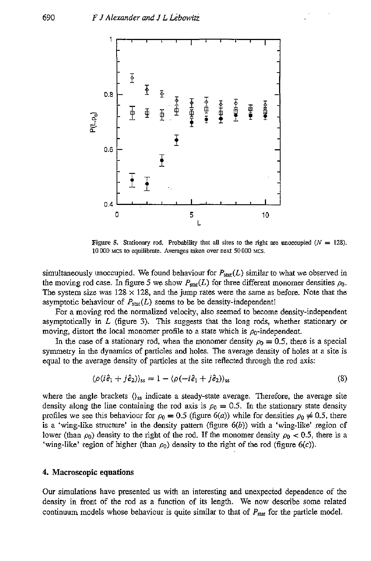

**Figure 5.** Stationary rod. Probability that all sites to the right are unoccupied  $(N = 128)$ . 10 000 MCS *to* **equilibrate. Averages** *taken* **over next 50000** MCS.

simultaneously unoccupied. We found behaviour for  $P_{\text{stat}}(L)$  similar to what we observed in the moving rod case. In figure 5 we show  $P_{\text{stat}}(L)$  for three different monomer densities  $\rho_0$ . The system size was  $128 \times 128$ , and the jump rates were the same as before. Note that the asymptotic behaviour of  $P_{stat}(L)$  seems to be be density-independent!

For a moving rod the normalized velocity, also seemed to become density-independent asymptotically in *L* (figure **3).** This **suggesests** that the long rods, whether stationary or moving, distort the local monomer profile to a state which is  $\rho_0$ -independent.

In the case of a stationary rod, when the monomer density  $\rho_0 = 0.5$ , there is a special symmetry in the dynamics of particles and holes. The average density of holes at **a** site is equal to the average density of particles at the site reflected through the rod axis:

$$
\langle \rho(i\hat{e}_1 + j\hat{e}_2) \rangle_{ss} = 1 - \langle \rho(-i\hat{e}_1 + j\hat{e}_2) \rangle_{ss}
$$
 (8)

where the angle brackets  $\langle \rangle_{\rm ss}$  indicate a steady-state average. Therefore, the average site density along the line containing the rod axis is  $\rho_0 = 0.5$ . In the stationary state density profiles we see this behaviour for  $\rho_0 = 0.5$  (figure 6(*a*)) while for densities  $\rho_0 \neq 0.5$ , there is a 'wing-like structure' in the density pattern **(figure** *6(b))* with a 'wing-like' region of lower (than  $\rho_0$ ) density to the right of the rod. If the monomer density  $\rho_0 < 0.5$ , there is a 'wing-like' region of higher (than  $\rho_0$ ) density to the right of the rod (figure  $6(c)$ ).

### **4. Macroscopic equations**

Our simulations have presented us with an interesting and unexpected dependence of the density in front of the rod as a function of its length. We now describe some related continuum models whose behaviour is quite similar to that of *PSai* for the particle model.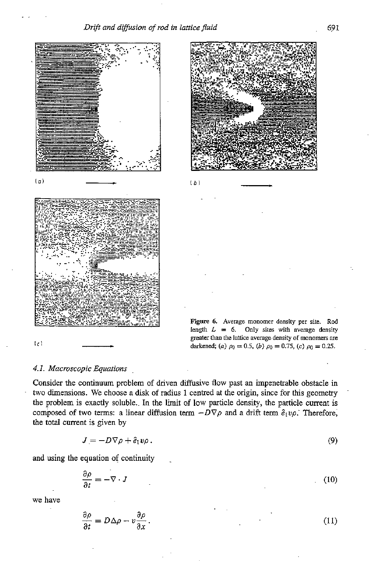



**Figure 6. Average** monomer **density per site. Rod**  length  $L = 6$ . Only sites with average density greater than the lattice average density of monomers are

### *4.1. Macroscopic Equations*

Consider the continuum problem of driven diffusive flow past an impenetrable obstacle in two dimensions. We choose a disk of radius 1 centred at the origin, since for this geometry the problem is exactly soluble.. In the limit of low particle density, the particle current **is**  composed of two terms: a linear diffusion term  $-D\nabla \rho$  and a drift term  $\hat{e}_1v\rho$ . Therefore, the total current is given by

 $(b)$ 

$$
J = -D\nabla \rho + \hat{e}_1 v \rho. \tag{9}
$$

and using the equation **of** continuity .

$$
\frac{\partial \rho}{\partial t} = -\nabla \cdot J \tag{10}
$$

we have

$$
\frac{\partial \rho}{\partial t} = D \Delta \rho - v \frac{\partial \rho}{\partial x}.
$$
\n(11)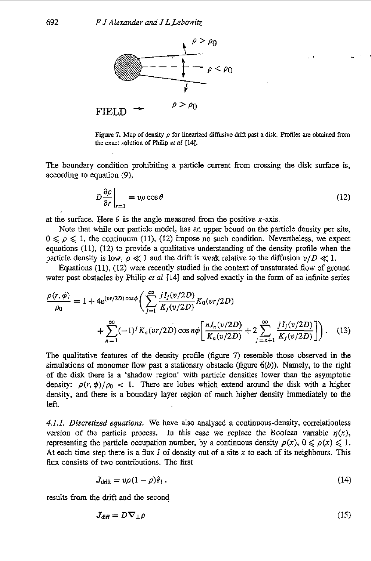

**Figure 7. Map of density** *p* for linearized **diffusive** drift **past** a **disk.** profiles **are** obtained from **the exact solution of Philip** *et al* **[14].** 

The boundary condition prohibiting a particle current from crossing the disk surface is, according to equation *(9),* 

$$
D\frac{\partial \rho}{\partial r}\bigg|_{r=1} = v\rho\cos\theta\tag{12}
$$

at the surface. Here  $\theta$  is the angle measured from the positive x-axis.

Note that while our particle model, has an upper bound on the particle density per site,  $0 \leq \rho \leq 1$ , the continuum (11), (12) impose no such condition. Nevertheless, we expect equations (Il), *(12)* to provide a qualitative understanding of the density profile when the particle density is low,  $\rho \ll 1$  and the drift is weak relative to the diffusion  $v/D \ll 1$ .

Equations (11), (12) were recently studied in the context of unsaturated flow of ground water past obstacles by Philip *et a1* **1141** and solved exactly in the form of an infinite series

$$
\frac{\rho(r,\phi)}{\rho_0} = 1 + 4e^{(vr/2D)\cos\phi} \bigg( \sum_{j=1}^{\infty} \frac{jI_j(v/2D)}{K_j(v/2D)} K_0(v/2D) + \sum_{n=1}^{\infty} (-1)^j K_n(v/2D) \cos n\phi \bigg[ \frac{nI_n(v/2D)}{K_n(v/2D)} + 2 \sum_{j=n+1}^{\infty} \frac{jI_j(v/2D)}{K_j(v/2D)} \bigg] \bigg). \tag{13}
$$

The qualitative features of the density profile (figure 7) resemble those observed in the simulations of monomer flow past a stationary obstacle (figure *6(b)).* Namely, to *the* right **of** the disk there is a 'shadow region' with particle densities lower than the asymptotic density:  $\rho(r, \phi)/\rho_0$  < 1. There are lobes which extend around the disk with a higher density, and there **is** a boundary layer region of much higher density immediately to the left.

*4.1.1. Discretized equations.* We have also analysed a continuous-density, correlationless version of the particle process. In this case we replace the Boolean variable  $\eta(x)$ , representing the particle occupation number, by a continuous density  $\rho(x)$ ,  $0 \le \rho(x) \le 1$ . At each time step there is a flux J of density out of a site *x* to each of its neighbours. This flux consists of two contributions. The first

$$
J_{\text{drift}} = v\rho (1 - \rho)\hat{\varepsilon}_1. \tag{14}
$$

results from the drift and the second

$$
J_{\text{diff}} = D \nabla_{\perp} \rho \tag{15}
$$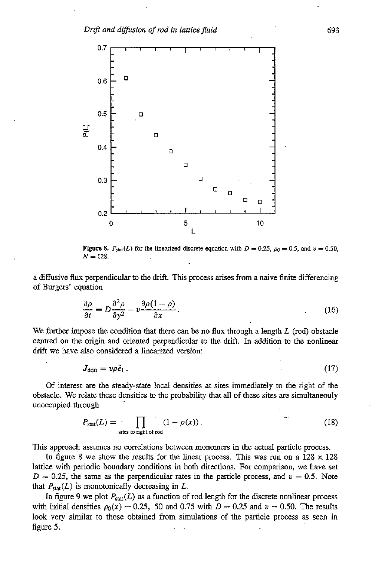

**Figure 8.**  $P_{\text{stat}}(L)$  for the linearized discrete equation with  $D = 0.25$ ,  $\rho_0 = 0.5$ , and  $v = 0.50$ ,  $N = 128$ .

a diffusive **flux** perpendicular to the drift. This process arises from a naive finite differencing of Burgers' equation

$$
\frac{\partial \rho}{\partial t} = D \frac{\partial^2 \rho}{\partial y^2} - v \frac{\partial \rho (1 - \rho)}{\partial x}.
$$
 (16)

We further impose the condition that there can be no **flux** through a length *L* (rod) obstacle centred on the origin and oriented perpendicular to the drift. In addition to the nonlinear drift we have also considered a linearized version:

$$
J_{\text{drift}} = v\rho \hat{e}_1. \tag{17}
$$

Of interest are the steady-state local densities at sites immediately to the right of the obstacle. We relate these densities to the probability that all **of** these sites are simultaneouly unoccupied through

$$
P_{\text{stat}}(L) = \prod_{\text{sites to right of rod}} (1 - \rho(x)). \tag{18}
$$

This approach assumes no correlations between monomers in the actual particle process.

In figure 8 we show the results for the linear process. This was run on a  $128 \times 128$ lattice with periodic boundary conditions in both directions. For comparison, we have set  $D = 0.25$ , the same as the perpendicular rates in the particle process, and  $v = 0.5$ . Note that  $P_{\text{stat}}(L)$  is monotonically decreasing in L.

In figure 9 we plot  $P_{stat}(L)$  as a function of rod length for the discrete nonlinear process with initial densities  $\rho_0(x) = 0.25$ , 50 and 0.75 with  $D = 0.25$  and  $\nu = 0.50$ . The results look very similar to those obtained from simulations of the particle process **as** seen in figure *5.* ..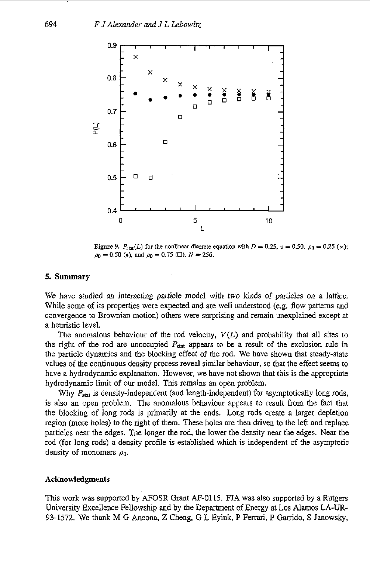

**Figure 9.**  $P_{\text{stat}}(L)$  for the nonlinear discrete equation with  $D = 0.25$ ,  $\nu = 0.50$ .  $\rho_0 = 0.25$  (x);  $\rho_0 = 0.50$  (e), and  $\rho_0 = 0.75$  (EI),  $N = 256$ .

### *5.* **Summary**

We have studied an interacting particle model with two kinds of particles on a lattice. While some of its properties were expected and are well understood (e.g. flow patterns and convergence to Brownian motion) others were surprising and remain unexplained except at a heuristic level.

The anomalous behaviour of the rod velocity, *V(L)* and probability that all sites to the right of the rod are unoccupied  $P_{\text{stat}}$  appears to be a result of the exclusion rule in the particle dynamics and the blocking effect of the rod. We have shown that steady-state values of the continuous density process reveal similar behaviour, so that the effect seems to have a hydrodynamic explanation. However, we have not shown that this is the appropriate hydrodynamic limit of our model. This remains an open problem.

Why  $P_{\text{stat}}$  is density-independent (and length-independent) for asymptotically long rods, is also an open problem. The anomalous behaviour appears to result from the fact that the blocking of long rods is primarily at the ends. Long rods create a larger depletion region (more holes) to the right of them. These holes are then driven to the left and replace particles near the edges. The longer the rod, the lower the density near the edges. Near the rod (for long rods) a density profile is established which is independent of the asymptotic density of monomers  $\rho_0$ .

### **Acknowledgments**

This work was supported by AFOSR Grant AF-0115. FJA was also supported by a Rutgers University Excellence Fellowship and by the Department of Energy at Los Alamos LA-UR-93-1572. We thank M G Ancona, Z Cheng, G L Eyink, P Ferrari, P Garrido, S Janowsky,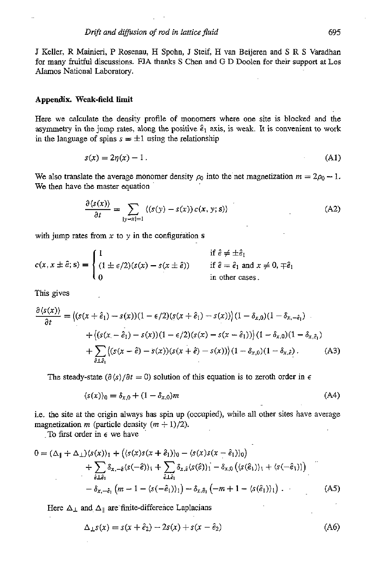J Keller, R Mainieri, P Rosenau, H Spohn, J Steif, H van Beijeren and *S* R *S* Varadhan for many fruitful discussions. **FJA** thanks S Chen and G D Doden for their **support** at Los AIamos National Laboratory.

### **Appendix. Weak-field limit**

Here we calculate the density profile *of* monomers where one site is blocked and the asymmetry in the jump rates, along the positive  $\hat{e}_1$  axis, is weak. It is convenient to work in the language of spins  $s = \pm 1$  using the relationship

$$
s(x) = 2\eta(x) - 1.
$$
 (A1)

We also translate the average monomer density  $\rho_0$  into the net magnetization  $m = 2\rho_0 - 1$ . We then have the master equation

$$
\frac{\partial \langle s(x) \rangle}{\partial t} = \sum_{|y-x|=1} \langle (s(y) - s(x)) c(x, y; s) \rangle \tag{A2}
$$

with jump rates from  $x$  to  $y$  in the configuration  $s$ 

$$
c(x, x \pm \hat{e}; s) = \begin{cases} 1 & \text{if } \hat{e} \neq \pm \hat{e}_1 \\ (1 \pm \epsilon/2)(s(x) - s(x \pm \hat{e})) & \text{if } \hat{e} = \hat{e}_1 \text{ and } x \neq 0, \mp \hat{e}_1 \\ 0 & \text{in other cases.} \end{cases}
$$

This gives

$$
\frac{\partial \langle s(x) \rangle}{\partial t} = \left\langle (s(x + \hat{e}_1) - s(x))(1 - \epsilon/2)(s(x + \hat{e}_1) - s(x)) \right\rangle (1 - \delta_{x,0})(1 - \delta_{x,-\hat{e}_1}) \n+ \left\langle (s(x - \hat{e}_1) - s(x))(1 - \epsilon/2)(s(x) - s(x - \hat{e}_1)) \right\rangle (1 - \delta_{x,0})(1 - \delta_{x,\hat{e}_1}) \n+ \sum_{\hat{e} \perp \hat{e}_1} \left\langle (s(x - \hat{e}) - s(x))(s(x + \hat{e}) - s(x)) \right\rangle (1 - \delta_{x,0})(1 - \delta_{x,\hat{e}_1}).
$$
\n(A3)

The steady-state  $(\partial \langle s \rangle / \partial t = 0)$  solution of this equation is to zeroth order in  $\epsilon$ 

$$
\langle s(x) \rangle_0 = \delta_{x,0} + (1 - \delta_{x,0})m \tag{A4}
$$

i.e. the site at the origin always has spin **up** (occupied), while all other sites have average magnetization *m* (particle density  $(m + 1)/2$ ).

To first order in *E* **we** have

$$
0 = (\Delta_{\parallel} + \Delta_{\perp})\langle s(x)\rangle_{1} + (\langle s(x)s(x+\hat{e}_{1})\rangle_{0} - \langle s(x)s(x-\hat{e}_{1})\rangle_{0}) + \sum_{\hat{e}\perp\hat{e}_{1}} \delta_{x,-\hat{e}}\langle s(-\hat{e})\rangle_{1} + \sum_{\hat{e}\perp\hat{e}_{1}} \delta_{x,\hat{e}}\langle s(\hat{e})\rangle_{1} - \delta_{x,0} (\langle s(\hat{e}_{1})\rangle_{1} + \langle s(-\hat{e}_{1})\rangle) - \delta_{x,-\hat{e}_{1}} (m-1-\langle s(-\hat{e}_{1})\rangle_{1}) - \delta_{x,\hat{e}_{1}} (-m+1-\langle s(\hat{e}_{1})\rangle_{1})
$$
(A5)

Here  $\Delta_{\perp}$  and  $\Delta_{\parallel}$  are finite-difference Laplacians

$$
\Delta_{\perp} s(x) = s(x + \hat{e}_2) - 2s(x) + s(x - \hat{e}_2)
$$
 (A6)